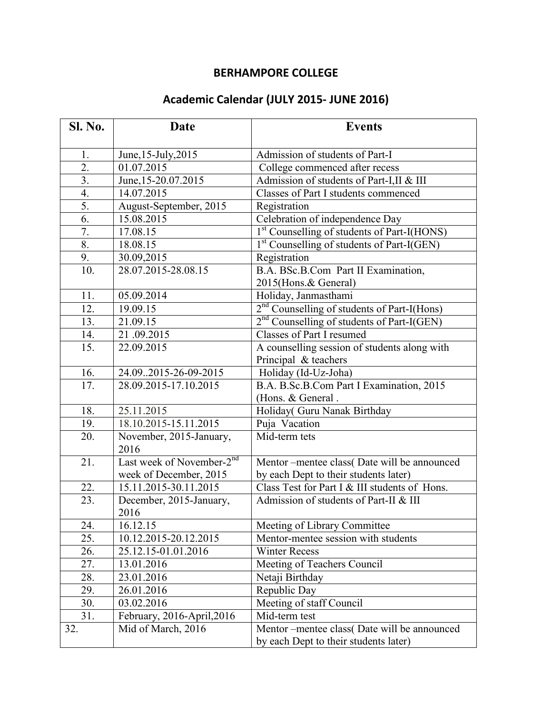## **BERHAMPORE COLLEGE**

## **Academic Calendar (JULY 2015- JUNE 2016)**

| <b>Sl. No.</b>    | Date                                  | <b>Events</b>                                           |
|-------------------|---------------------------------------|---------------------------------------------------------|
| 1.                | June, 15-July, 2015                   | Admission of students of Part-I                         |
| 2.                | 01.07.2015                            | College commenced after recess                          |
| 3.                | June, 15-20.07.2015                   | Admission of students of Part-I,II & III                |
| 4.                | 14.07.2015                            | Classes of Part I students commenced                    |
| 5.                | August-September, 2015                | Registration                                            |
| 6.                | 15.08.2015                            | Celebration of independence Day                         |
| 7.                | 17.08.15                              | 1 <sup>st</sup> Counselling of students of Part-I(HONS) |
| 8.                | 18.08.15                              | 1 <sup>st</sup> Counselling of students of Part-I(GEN)  |
| 9.                | 30.09,2015                            | Registration                                            |
| 10.               | 28.07.2015-28.08.15                   | B.A. BSc.B.Com Part II Examination,                     |
|                   |                                       | 2015(Hons.& General)                                    |
| 11.               | 05.09.2014                            | Holiday, Janmasthami                                    |
| 12.               | 19.09.15                              | 2 <sup>nd</sup> Counselling of students of Part-I(Hons) |
| 13.               | 21.09.15                              | 2 <sup>nd</sup> Counselling of students of Part-I(GEN)  |
| 14.               | 21.09.2015                            | Classes of Part I resumed                               |
| $\overline{15}$ . | 22.09.2015                            | A counselling session of students along with            |
|                   |                                       | Principal & teachers                                    |
| 16.               | 24.092015-26-09-2015                  | Holiday (Id-Uz-Joha)                                    |
| 17.               | 28.09.2015-17.10.2015                 | B.A. B.Sc.B.Com Part I Examination, 2015                |
|                   |                                       | (Hons. & General.                                       |
| 18.               | 25.11.2015                            | Holiday( Guru Nanak Birthday                            |
| 19.               | 18.10.2015-15.11.2015                 | Puja Vacation                                           |
| 20.               | November, 2015-January,<br>2016       | $\overline{\text{Mid-term}}$ tets                       |
| 21.               | Last week of November-2 <sup>nd</sup> | Mentor-mentee class(Date will be announced              |
|                   | week of December, 2015                | by each Dept to their students later)                   |
| 22.               | 15.11.2015-30.11.2015                 | Class Test for Part I & III students of Hons.           |
| 23.               | December, 2015-January,<br>2016       | Admission of students of Part-II & III                  |
| 24.               | 16.12.15                              | Meeting of Library Committee                            |
| 25.               | 10.12.2015-20.12.2015                 | Mentor-mentee session with students                     |
| 26.               | 25.12.15-01.01.2016                   | <b>Winter Recess</b>                                    |
| 27.               | 13.01.2016                            | Meeting of Teachers Council                             |
| 28.               | 23.01.2016                            | Netaji Birthday                                         |
| 29.               | 26.01.2016                            | Republic Day                                            |
| 30.               | 03.02.2016                            | Meeting of staff Council                                |
| 31.               | February, 2016-April, 2016            | Mid-term test                                           |
| 32.               | Mid of March, 2016                    | Mentor --mentee class(Date will be announced            |
|                   |                                       | by each Dept to their students later)                   |